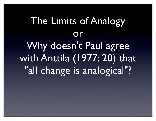### The Limits of Analogy or Why doesn't Paul agree with Anttila (1977: 20) that "all change is analogical"?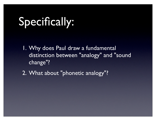### Specifically:

- 1. Why does Paul draw a fundamental distinction between "analogy" and "sound change"?
- 2. What about "phonetic analogy"?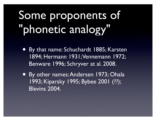# Some proponents of "phonetic analogy"

- By that name: Schuchardt 1885; Karsten 1894; Hermann 1931; Vennemann 1972; Benware 1996; Schryver at al. 2008.
- By other names: Andersen 1973; Ohala 1993; Kiparsky 1995; Bybee 2001 (??); Blevins 2004.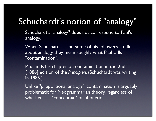#### Schuchardt's notion of "analogy"

Schuchardt's "analogy" does not correspond to Paul's analogy.

When Schuchardt – and some of his followers – talk about analogy, they mean roughly what Paul calls "contamination".

Paul adds his chapter on contamination in the 2nd [1886] edition of the *Principien*. (Schuchardt was writing in 1885.)

Unlike "proportional analogy", contamination is arguably problematic for Neogrammarian theory, regardless of whether it is "conceptual" or phonetic.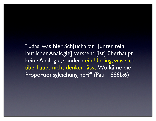"...das, was hier Sch[uchardt] [unter rein lautlicher Analogie] versteht [ist] überhaupt keine Analogie, sondern ein Unding, was sich überhaupt nicht denken lässt. Wo käme die Proportionsgleichung her?" (Paul 1886b:6)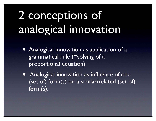# 2 conceptions of analogical innovation

- Analogical innovation as application of a grammatical rule (=solving of a proportional equation)
- Analogical innovation as influence of one (set of) form(s) on a similar/related (set of) form(s).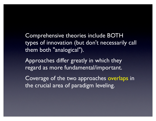Comprehensive theories include BOTH types of innovation (but don't necessarily call them both "analogical").

Approaches differ greatly in which they regard as more fundamental/important.

Coverage of the two approaches overlaps in the crucial area of paradigm leveling.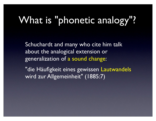#### What is "phonetic analogy"?

Schuchardt and many who cite him talk about the analogical extension or generalization of a sound change:

"die Häufigkeit eines gewissen Lautwandels wird zur Allgemeinheit" (1885:7)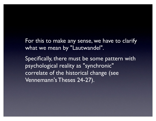For this to make any sense, we have to clarify what we mean by "Lautwandel".

Specifically, there must be some pattern with psychological reality as "synchronic" correlate of the historical change (see Vennemann's Theses 24-27).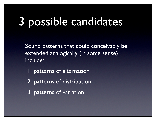# 3 possible candidates

Sound patterns that could conceivably be extended analogically (in some sense) include:

- 1. patterns of alternation
- 2. patterns of distribution
- 3. patterns of variation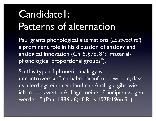#### Candidate1: Patterns of alternation

Paul grants phonological alternations (*Lautwechsel*) a prominent role in his dicussion of analogy and analogical innovation (Ch. 5, §76, 84: "materialphonological proportional groups").

So this type of phonetic analogy is uncontroversial: "Ich habe darauf zu erwidern, dass es allerdings eine rein lautliche Analogie gibt, wie ich in der zweiten Auflage meiner Principien zeigen werde ..." (Paul 1886b:6; cf. Reis 1978:196n.91).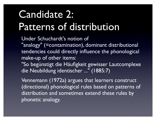#### Candidate 2: Patterns of distribution

Under Schuchardt's notion of

"analogy" (=contamination), dominant distributional tendencies could directly influence the phonological make-up of other items:

"So begünstigt die Häufigkeit gewisser Lautcomplexe die Neubildung identischer ..." (1885:7)

Vennemann (1972a) argues that learners construct (directional) phonological rules based on patterns of distribution and sometimes extend these rules by phonetic analogy.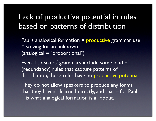#### Lack of productive potential in rules based on patterns of distribution

Paul's analogical formation = productive grammar use = solving for an unknown (analogical = "proportional")

Even if speakers' grammars include some kind of (redundancy) rules that capture patterns of distribution, these rules have no productive potential.

They do not allow speakers to produce any forms that they haven't learned directly, and that – for Paul – is what analogical formation is all about.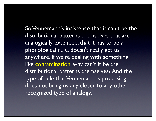So Vennemann's insistence that it can't be the distributional patterns themselves that are analogically extended, that it has to be a phonological rule, doesn't really get us anywhere. If we're dealing with something like contamination, why can't it be the distributional patterns themselves? And the type of rule that Vennemann is proposing does not bring us any closer to any other recognized type of analogy.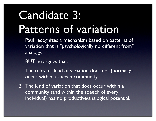# Candidate 3: Patterns of variation

Paul recognizes a mechanism based on patterns of variation that is "psychologically no different from" analogy.

BUT he argues that:

- 1. The relevant kind of variation does not (normally) occur within a speech community.
- 2. The kind of variation that does occur within a community (and within the speech of every individual) has no productive/analogical potential.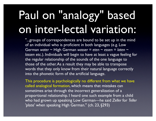# Paul on "analogy" based on inter-lectal variation:

"...groups of correspondences are bound to be set up in the mind of an individual who is proficient in both languages (e.g. Low German *water* ~ High German *wasser* = *eten* ~ *essen* = *laten* ~ *lassen* etc.). Individuals will begin to have at least a vague feeling for the regular relationship of the sounds of the one language to those of the other. As a result they may be able to transpose words that they only know from their natural language correctly into the phonetic form of the artificial language.

This procedure is psychologically no different from what we have called analogical formation, which means that mistakes can sometimes arise through the incorrect generalization of a proportional relationship. I heard one such example from a child who had grown up speaking Low German—he said *Zeller* for *Teller* 'plate' when speaking High German." (ch. 23, §293)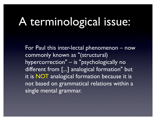## A terminological issue:

For Paul this inter-lectal phenomenon – now commonly known as "(structural) hypercorrection" – is "psychologically no different from [...] analogical formation" but it is NOT analogical formation because it is not based on grammatical relations within a single mental grammar.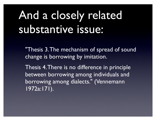# And a closely related substantive issue:

"Thesis 3. The mechanism of spread of sound change is borrowing by imitation.

Thesis 4. There is no difference in principle between borrowing among individuals and borrowing among dialects." (Vennemann 1972a:171).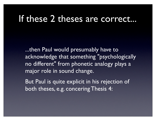#### If these 2 theses are correct...

...then Paul would presumably have to acknowledge that something "psychologically no different" from phonetic analogy plays a major role in sound change.

But Paul is quite explicit in his rejection of both theses, e.g. concering Thesis 4: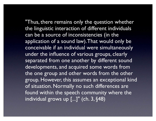"Thus, there remains only the question whether the linguistic interaction of different individuals can be a source of inconsistencies (in the application of a sound law). That would only be conceivable if an individual were simultaneously under the influence of various groups, clearly separated from one another by different sound

developments, and acquired some words from the one group and other words from the other group. However, this assumes an exceptional kind of situation. Normally no such differences are found within the speech community where the individual grows up [...]" (ch. 3, §48)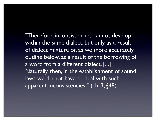"Therefore, inconsistencies cannot develop within the same dialect, but only as a result of dialect mixture or, as we more accurately outline below, as a result of the borrowing of a word from a different dialect. [...] Naturally, then, in the establishment of sound laws we do not have to deal with such apparent inconsistencies." (ch. 3, §48)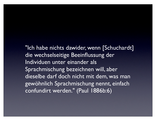"Ich habe nichts dawider, wenn [Schuchardt] die wechselseitige Beeinflussung der Individuen unter einander als Sprachmischung bezeichnen will, aber dieselbe darf doch nicht mit dem, was man gewöhnlich Sprachmischung nennt, einfach confundirt werden." (Paul 1886b:6)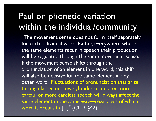#### Paul on phonetic variation within the individual/community

"The movement sense does not form itself separately for each individual word. Rather, everywhere where the same elements recur in speech their production will be regulated through the same movement sense. If the movement sense shifts through the pronunciation of an element in one word, this shift will also be decisive for the same element in any other word. Fluctuations of pronunciation that arise through faster or slower, louder or quieter, more careful or more careless speech will always affect the same element in the same way—regardless of which word it occurs in [...]" (Ch. 3, §47)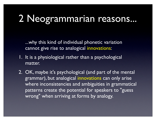#### 2 Neogrammarian reasons...

...why this kind of individual phonetic variation cannot give rise to analogical innovations:

- 1. It is a physiological rather than a psychological matter.
- 2. OK, maybe it's psychological (and part of the mental grammar), but analogical innovations can only arise where inconsistencies and ambiguities in grammatical patterns create the potential for speakers to "guess wrong" when arriving at forms by analogy.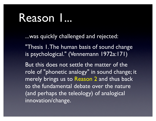#### Reason I...

...was quickly challenged and rejected:

"Thesis 1. The human basis of sound change is psychological." (Vennemann 1972a:171)

But this does not settle the matter of the role of "phonetic analogy" in sound change; it merely brings us to Reason 2 and thus back to the fundamental debate over the nature (and perhaps the teleology) of analogical innovation/change.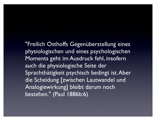"Freilich Osthoffs Gegenüberstellung eines physiologischen und eines psychologischen Moments geht im Ausdruck fehl, insofern auch die physiologische Seite der Sprachthätigkeit psychisch bedingt ist. Aber die Scheidung [zwischen Lautwandel und Analogiewirkung] bleibt darum noch bestehen." (Paul 1886b:6)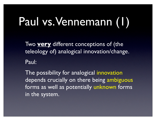# Paul vs. Vennemann (1)

Two **very** different conceptions of (the teleology of) analogical innovation/change. Paul:

The possibility for analogical innovation depends crucially on there being ambiguous forms as well as potentially unknown forms in the system.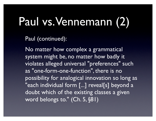## Paul vs. Vennemann (2)

Paul (continued):

No matter how complex a grammatical system might be, no matter how badly it violates alleged universal "preferences" such as "one-form-one-function", there is no possibility for analogical innovation so long as "each individual form [...] reveal[s] beyond a doubt which of the existing classes a given word belongs to." (Ch. 5, §81)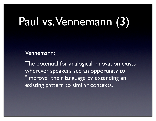# Paul vs. Vennemann (3)

Vennemann:

The potential for analogical innovation exists wherever speakers see an opporunity to "improve" their language by extending an existing pattern to similar contexts.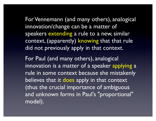For Vennemann (and many others), analogical innovation/change can be a matter of speakers extending a rule to a new, similar context, (apparently) knowing that that rule did not previously apply in that context.

For Paul (and many others), analogical innovation is a matter of a speaker applying a rule in some context because she mistakenly believes that it does apply in that context (thus the crucial importance of ambiguous and unknown forms in Paul's "proportional" model).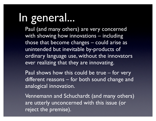#### In general...

Paul (and many others) are very concerned with showing how innovations – including those that become changes – could arise as unintended but inevitable by-products of ordinary language use, without the innovators ever realizing that they are innovating.

Paul shows how this could be true – for very different reasons – for both sound change and analogical innovation.

Vennemann and Schuchardt (and many others) are utterly unconcerned with this issue (or reject the premise).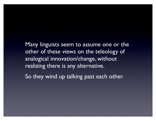Many linguists seem to assume one or the other of these views on the teleology of analogical innovation/change, without realizing there is any alternative. So they wind up talking past each other.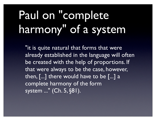# Paul on "complete harmony" of a system

"it is quite natural that forms that were already established in the language will often be created with the help of proportions. If that were always to be the case, however, then, [...] there would have to be [...] a complete harmony of the form system ..." (Ch. 5, §81).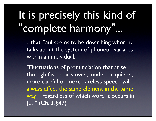## It is precisely this kind of "complete harmony"...

...that Paul seems to be describing when he talks about the system of phonetic variants within an individual:

"Fluctuations of pronunciation that arise through faster or slower, louder or quieter, more careful or more careless speech will always affect the same element in the same way—regardless of which word it occurs in  $\left[...]$ " (Ch. 3, §47)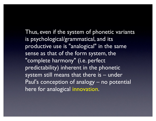Thus, even if the system of phonetic variants is psychological/grammatical, and its productive use is "analogical" in the same sense as that of the form system, the "complete harmony" (i.e. perfect predictability) inherent in the phonetic system still means that there is – under Paul's conception of analogy – no potential here for analogical innovation.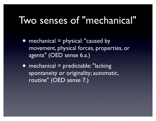#### Two senses of "mechanical"

- mechanical = physical: "caused by movement, physical forces, properties, or agents" (OED sense 6.a.)
- mechanical = predictable: "lacking" spontaneity or originality; automatic, routine" (OED sense 7.)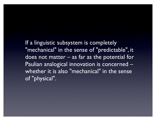If a linguistic subsystem is completely "mechanical" in the sense of "predictable", it does not matter – as far as the potential for Paulian analogical innovation is concerned – whether it is also "mechanical" in the sense of "physical".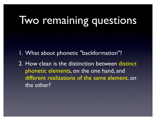### Two remaining questions

- 1. What about phonetic "backformation"?
- 2. How clean is the distinction between distinct phonetic elements, on the one hand, and different realizations of the same element, on the other?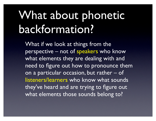# What about phonetic backformation?

What if we look at things from the perspective – not of speakers who know what elements they are dealing with and need to figure out how to pronounce them on a particular occasion, but rather – of listeners/learners who know what sounds they've heard and are trying to figure out what elements those sounds belong to?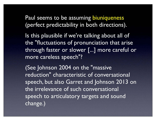Paul seems to be assuming biuniqueness (perfect predictability in both directions).

Is this plausible if we're talking about all of the "fluctuations of pronunciation that arise through faster or slower [...] more careful or more careless speech"?

(See Johnson 2004 on the "massive reduction" characteristic of conversational speech, but also Garret and Johnson 2013 on the irrelevance of such conversational speech to articulatory targets and sound change.)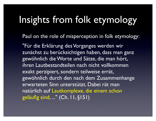#### Insights from folk etymology

Paul on the role of misperception in folk etymology:

"Für die Erklärung des Vorganges werden wir zunächst zu berücksichtigen haben, dass man ganz gewöhnlich die Worte und Sätze, die man hört, ihren Lautbestandteilen nach nicht vollkommen exakt perzipiert, sondern teilweise errät, gewöhnlich durch den nach dem Zusammenhange erwarteten Sinn unterstützt. Dabei rät man natürlich auf Lautkomplexe, die einem schon geläufig sind, ..." (Ch. 11, §151)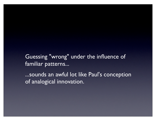Guessing "wrong" under the influence of familiar patterns...

...sounds an awful lot like Paul's conception of analogical innovation.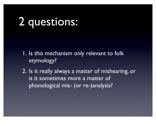#### 2 questions:

- 1. Is this mechanism only relevant to folk etymology?
- 2. Is it really always a matter of mishearing, or is it sometimes more a matter of phonological mis- (or re-)analysis?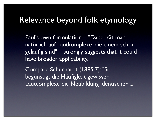#### Relevance beyond folk etymology

Paul's own formulation – "Dabei rät man natürlich auf Lautkomplexe, die einem schon geläufig sind" – strongly suggests that it could have broader applicability.

Compare Schuchardt (1885:7): "So begünstigt die Häufigkeit gewisser Lautcomplexe die Neubildung identischer ..."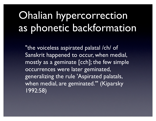#### Ohalian hypercorrection as phonetic backformation

"the voiceless aspirated palatal /ch/ of Sanskrit happened to occur, when medial, mostly as a geminate [cch]; the few simple occurrences were later geminated, generalizing the rule 'Aspirated palatals, when medial, are geminated.'" (Kiparsky 1992:58)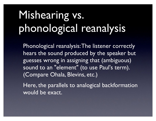# Mishearing vs. phonological reanalysis

Phonological reanalysis: The listener correctly hears the sound produced by the speaker but guesses wrong in assigning that (ambiguous) sound to an "element" (to use Paul's term). (Compare Ohala, Blevins, etc.)

Here, the parallels to analogical backformation would be exact.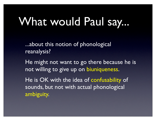### What would Paul say...

...about this notion of phonological reanalysis?

He might not want to go there because he is not willing to give up on biuniqueness.

He is OK with the idea of confusability of sounds, but not with actual phonological ambiguity.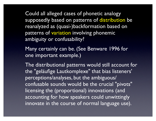Could all alleged cases of phonetic analogy supposedly based on patterns of distribution be reanalyzed as (quasi-)backformation based on patterns of variation involving phonemic ambiguity or confusability?

Many certainly can be. (See Benware 1996 for one important example.)

The distributional patterns would still account for the "geläufige Lautkomplexe" that bias listeners' perceptions/analyses, but the ambiguous/ confusable sounds would be the crucial "pivots" licensing the (proportional) innovations (and accounting for how speakers could unwittingly innovate in the course of normal language use).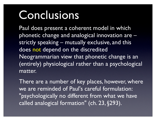#### **Conclusions**

Paul does present a coherent model in which phonetic change and analogical innovation are – strictly speaking – mutually exclusive, and this does not depend on the discredited Neogrammarian view that phonetic change is an (entirely) physiological rather than a psychological matter.

There are a number of key places, however, where we are reminded of Paul's careful formulation: "psychologically no different from what we have called analogical formation" (ch. 23, §293).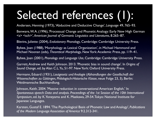# Selected references (1):

Andersen, Henning (1973), 'Abductive and Deductive Change', *Language* 49, 765–93.

Benware, W. A. (1996), 'Processual Change and Phonetic Analogy: Early New High German <s> <sch>', *American Journal of Germanic Linguistics and Literatures*, 8.265–87.

Blevins, Juliette (2004), *Evolutionary Phonology*, Cambridge: Cambridge University Press.

Bybee, Joan (1988), 'Morphology as Lexical Organization', in Michael Hammond and Michael Noonan (eds), *Theoretical Morphology*, New York: Academic Press, pp. 119–41.

Bybee, Joan (2001), *Phonology and Language Use*, Cambridge: Cambridge University Press.

Garrett, Andrew and Keith Johnson. 2013. 'Phonetic bias in sound change'. In *Origins of Sound Change*, ed. by Alan C.L. Yu, 51-97. New York: Oxford University Press.

Hermann, Eduard (1931), *Lautgesetz und Analogie* (*Abhandlungen der Gesellschaft der Wissenschaften zu Göttingen, Philologisch-Historische Klasse*, neue Folge 23, 3), Berlin: Weidmannsche Buchhandlung.

Johnson, Keith. 2004. 'Massive reduction in conversational American English.' In *Spontaneous speech: Data and analysis. Proceedings of the 1st Session of the 10th International Symposium*, ed. by K. Yoneyama and K. Maekawa, 29-54. Tokyo: National Institute for Japanese Languages.

Karsten, Gustaf E. 1894. 'The Psychological Basis of Phonetic Law and Analogy', *Publications of the Modern Language Association of America* 9:2.312-341.